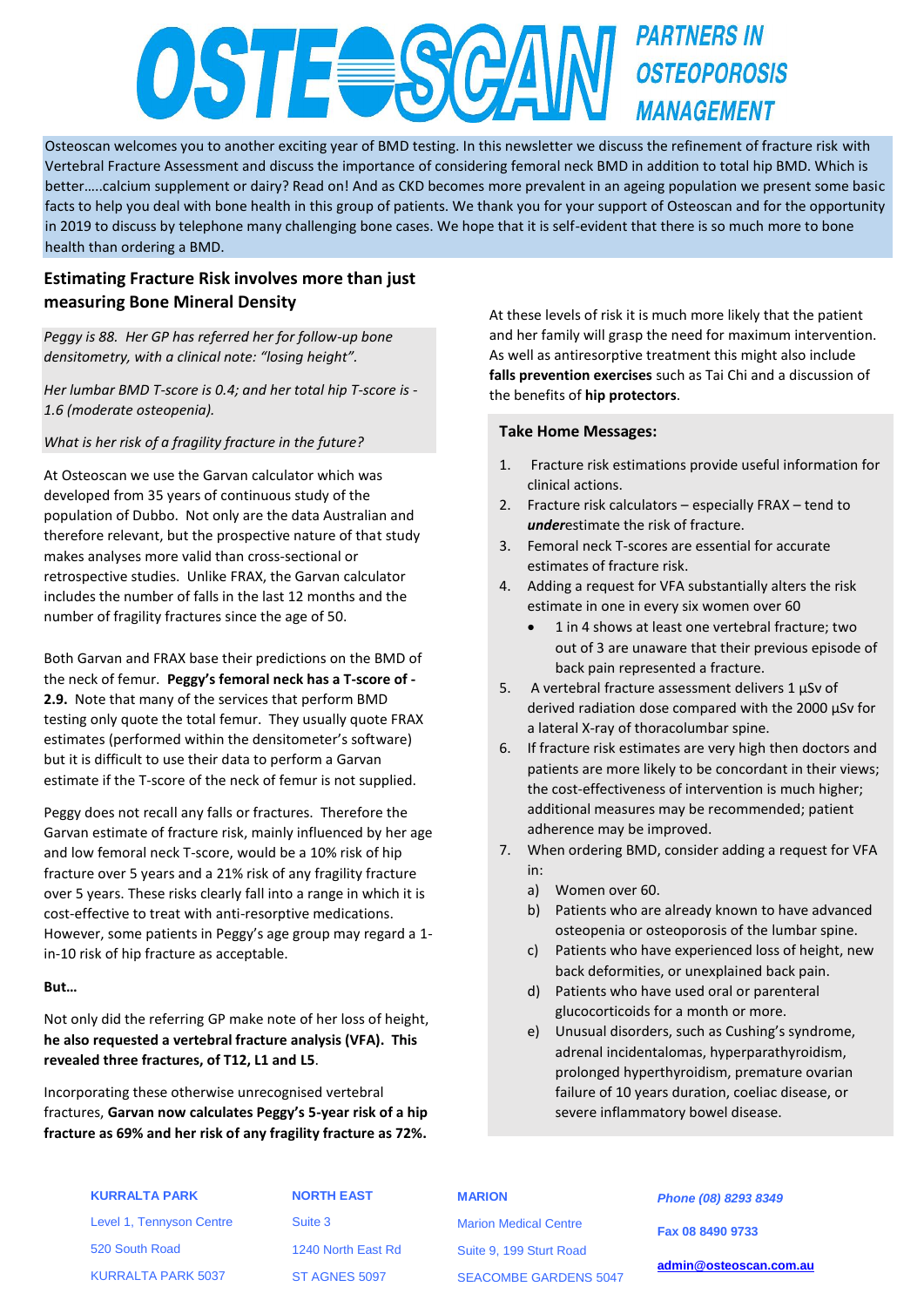# **PARTNERS IN OSTE SCA OSTEOPOROSIS MANAGEMENT**

Osteoscan welcomes you to another exciting year of BMD testing. In this newsletter we discuss the refinement of fracture risk with Vertebral Fracture Assessment and discuss the importance of considering femoral neck BMD in addition to total hip BMD. Which is better…..calcium supplement or dairy? Read on! And as CKD becomes more prevalent in an ageing population we present some basic facts to help you deal with bone health in this group of patients. We thank you for your support of Osteoscan and for the opportunity in 2019 to discuss by telephone many challenging bone cases. We hope that it is self-evident that there is so much more to bone health than ordering a BMD.

# **Estimating Fracture Risk involves more than just measuring Bone Mineral Density**

*Peggy is 88. Her GP has referred her for follow-up bone densitometry, with a clinical note: "losing height".*

*Her lumbar BMD T-score is 0.4; and her total hip T-score is - 1.6 (moderate osteopenia).*

*What is her risk of a fragility fracture in the future?*

At Osteoscan we use the Garvan calculator which was developed from 35 years of continuous study of the population of Dubbo. Not only are the data Australian and therefore relevant, but the prospective nature of that study makes analyses more valid than cross-sectional or retrospective studies. Unlike FRAX, the Garvan calculator includes the number of falls in the last 12 months and the number of fragility fractures since the age of 50.

Both Garvan and FRAX base their predictions on the BMD of the neck of femur. **Peggy's femoral neck has a T-score of - 2.9.** Note that many of the services that perform BMD testing only quote the total femur. They usually quote FRAX estimates (performed within the densitometer's software) but it is difficult to use their data to perform a Garvan estimate if the T-score of the neck of femur is not supplied.

Peggy does not recall any falls or fractures. Therefore the Garvan estimate of fracture risk, mainly influenced by her age and low femoral neck T-score, would be a 10% risk of hip fracture over 5 years and a 21% risk of any fragility fracture over 5 years. These risks clearly fall into a range in which it is cost-effective to treat with anti-resorptive medications. However, some patients in Peggy's age group may regard a 1 in-10 risk of hip fracture as acceptable.

# **But…**

Not only did the referring GP make note of her loss of height, **he also requested a vertebral fracture analysis (VFA). This revealed three fractures, of T12, L1 and L5**.

Incorporating these otherwise unrecognised vertebral fractures, **Garvan now calculates Peggy's 5-year risk of a hip fracture as 69% and her risk of any fragility fracture as 72%.**

At these levels of risk it is much more likely that the patient and her family will grasp the need for maximum intervention. As well as antiresorptive treatment this might also include **falls prevention exercises** such as Tai Chi and a discussion of the benefits of **hip protectors**.

# **Take Home Messages:**

- 1. Fracture risk estimations provide useful information for clinical actions.
- 2. Fracture risk calculators especially FRAX tend to *under*estimate the risk of fracture.
- 3. Femoral neck T-scores are essential for accurate estimates of fracture risk.
- 4. Adding a request for VFA substantially alters the risk estimate in one in every six women over 60
	- 1 in 4 shows at least one vertebral fracture; two out of 3 are unaware that their previous episode of back pain represented a fracture.
- 5. A vertebral fracture assessment delivers  $1 \mu Sv$  of derived radiation dose compared with the 2000 µSv for a lateral X-ray of thoracolumbar spine.
- 6. If fracture risk estimates are very high then doctors and patients are more likely to be concordant in their views; the cost-effectiveness of intervention is much higher; additional measures may be recommended; patient adherence may be improved.
- 7. When ordering BMD, consider adding a request for VFA in:
	- a) Women over 60.
	- b) Patients who are already known to have advanced osteopenia or osteoporosis of the lumbar spine.
	- c) Patients who have experienced loss of height, new back deformities, or unexplained back pain.
	- d) Patients who have used oral or parenteral glucocorticoids for a month or more.
	- e) Unusual disorders, such as Cushing's syndrome, adrenal incidentalomas, hyperparathyroidism, prolonged hyperthyroidism, premature ovarian failure of 10 years duration, coeliac disease, or severe inflammatory bowel disease.

# **KURRALTA PARK** Level 1, Tennyson Centre

KURRALTA PARK 5037

520 South Road

Suite 3 1240 North East Rd

**NORTH EAST**

ST AGNES 5097

# **MARION**

Marion Medical Centre Suite 9, 199 Sturt Road SEACOMBE GARDENS 5047

*Phone (08) 8293 8349* **Fax 08 8490 9733 [admin@osteoscan.com.au](mailto:admin@osteoscan.com.au)**